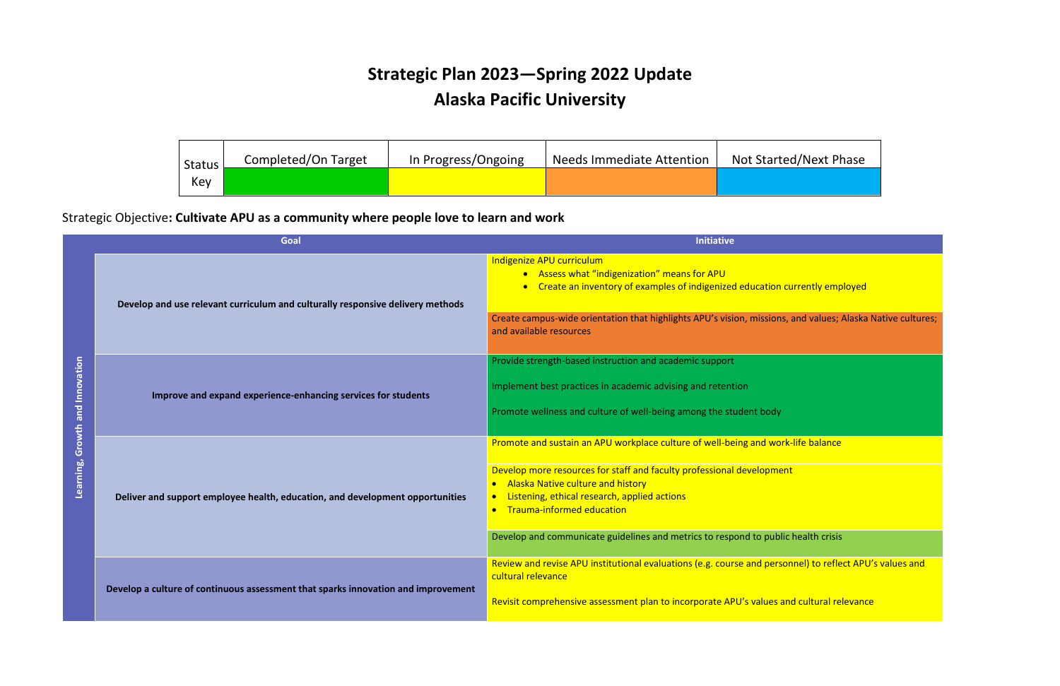## **Strategic Plan 2023—Spring 2022 Update Alaska Pacific University**

## Strategic Objective**: Cultivate APU as a community where people love to learn and work**

| Goal                            |                                                                                   | <b>Initiative</b>                                                                                                                                                                                                                                                                                                                          |
|---------------------------------|-----------------------------------------------------------------------------------|--------------------------------------------------------------------------------------------------------------------------------------------------------------------------------------------------------------------------------------------------------------------------------------------------------------------------------------------|
| Learning, Growth and Innovation | Develop and use relevant curriculum and culturally responsive delivery methods    | Indigenize APU curriculum<br>• Assess what "indigenization" means for APU<br>• Create an inventory of examples of indigenized education cu<br>Create campus-wide orientation that highlights APU's vision, missions, a<br>and available resources                                                                                          |
|                                 | Improve and expand experience-enhancing services for students                     | Provide strength-based instruction and academic support<br>Implement best practices in academic advising and retention<br>Promote wellness and culture of well-being among the student body                                                                                                                                                |
|                                 | Deliver and support employee health, education, and development opportunities     | Promote and sustain an APU workplace culture of well-being and work-<br>Develop more resources for staff and faculty professional development<br>• Alaska Native culture and history<br>Listening, ethical research, applied actions<br>• Trauma-informed education<br>Develop and communicate guidelines and metrics to respond to public |
|                                 | Develop a culture of continuous assessment that sparks innovation and improvement | Review and revise APU institutional evaluations (e.g. course and person<br>cultural relevance<br>Revisit comprehensive assessment plan to incorporate APU's values and                                                                                                                                                                     |

ted/Next Phase

n currently employed

ons, and values; Alaska Native cultures;

nork-life balance

blic health crisis

rsonnel) to reflect APU's values and

**Reprision Contract comprehensive and cultural relevance** 

| <b>Status</b><br>Key | Completed/On Target | In Progress/Ongoing | <b>Needs Immediate Attention</b> | <b>Not Start</b> |
|----------------------|---------------------|---------------------|----------------------------------|------------------|
|                      |                     |                     |                                  |                  |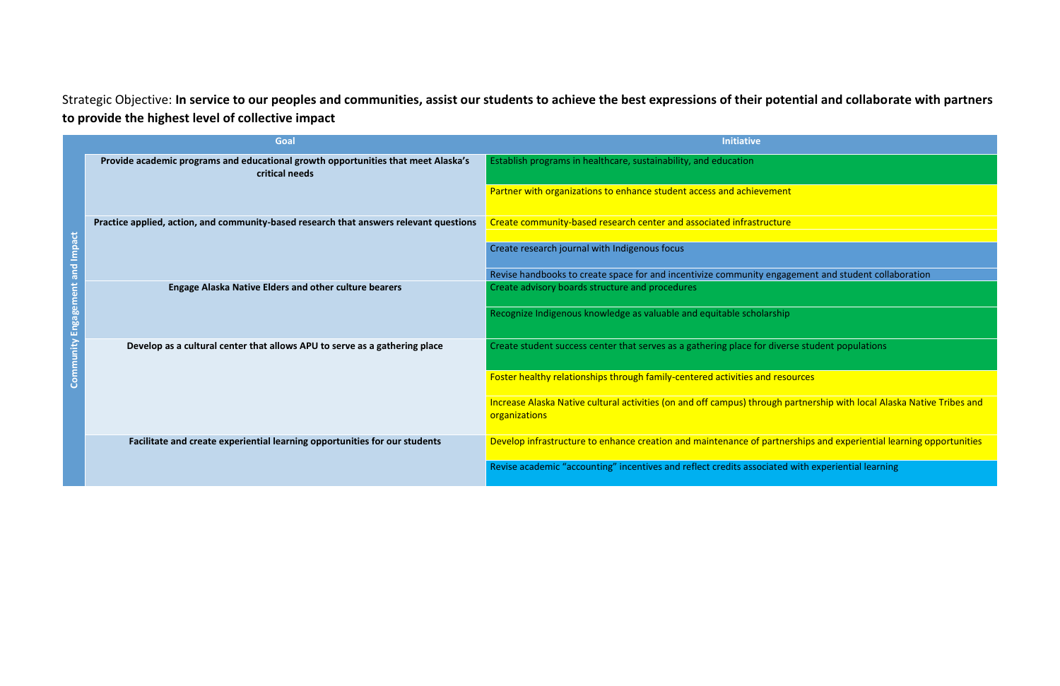Strategic Objective: **In service to our peoples and communities, assist our students to achieve the best expressions of their potential and collaborate with partners to provide the highest level of collective impact**

| Goal                                   |                                                                                                     | <b>Initiative</b>                                                                                                                       |  |
|----------------------------------------|-----------------------------------------------------------------------------------------------------|-----------------------------------------------------------------------------------------------------------------------------------------|--|
| <b>Community Engagement and Impact</b> | Provide academic programs and educational growth opportunities that meet Alaska's<br>critical needs | Establish programs in healthcare, sustainability, and education                                                                         |  |
|                                        |                                                                                                     | Partner with organizations to enhance student access and achievement                                                                    |  |
|                                        | Practice applied, action, and community-based research that answers relevant questions              | Create community-based research center and associated infrastructure                                                                    |  |
|                                        |                                                                                                     | Create research journal with Indigenous focus                                                                                           |  |
|                                        |                                                                                                     | Revise handbooks to create space for and incentivize community engagement and student collaboration                                     |  |
|                                        | <b>Engage Alaska Native Elders and other culture bearers</b>                                        | Create advisory boards structure and procedures                                                                                         |  |
|                                        |                                                                                                     | Recognize Indigenous knowledge as valuable and equitable scholarship                                                                    |  |
|                                        | Develop as a cultural center that allows APU to serve as a gathering place                          | Create student success center that serves as a gathering place for diverse student populations                                          |  |
|                                        |                                                                                                     | Foster healthy relationships through family-centered activities and resources                                                           |  |
|                                        |                                                                                                     | Increase Alaska Native cultural activities (on and off campus) through partnership with local Alaska Native Tribes and<br>organizations |  |
|                                        | Facilitate and create experiential learning opportunities for our students                          | Develop infrastructure to enhance creation and maintenance of partnerships and experiential learning opportunities                      |  |
|                                        |                                                                                                     | Revise academic "accounting" incentives and reflect credits associated with experiential learning                                       |  |